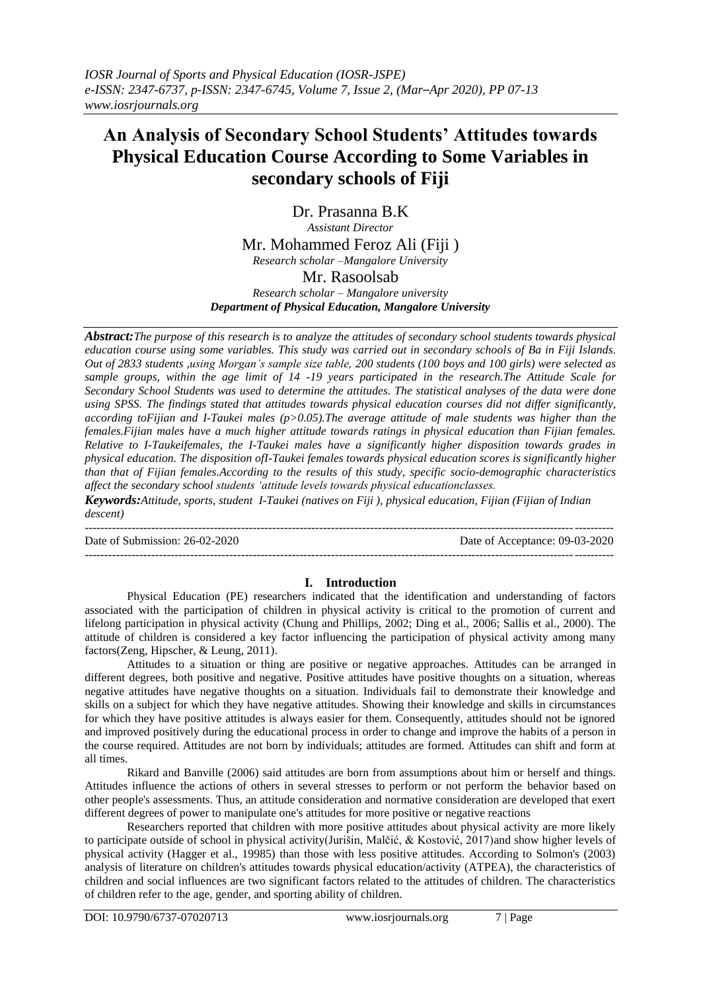# **An Analysis of Secondary School Students' Attitudes towards Physical Education Course According to Some Variables in secondary schools of Fiji**

Dr. Prasanna B.K *Assistant Director* Mr. Mohammed Feroz Ali (Fiji ) *Research scholar –Mangalore University* Mr. Rasoolsab

*Research scholar – Mangalore university Department of Physical Education, Mangalore University*

*Abstract:The purpose of this research is to analyze the attitudes of secondary school students towards physical education course using some variables. This study was carried out in secondary schools of Ba in Fiji Islands. Out of 2833 students ,using Morgan's sample size table, 200 students (100 boys and 100 girls) were selected as sample groups, within the age limit of 14 -19 years participated in the research.The Attitude Scale for Secondary School Students was used to determine the attitudes. The statistical analyses of the data were done using SPSS. The findings stated that attitudes towards physical education courses did not differ significantly, according toFijian and I-Taukei males (p>0.05).The average attitude of male students was higher than the females.Fijian males have a much higher attitude towards ratings in physical education than Fijian females. Relative to I-Taukeifemales, the I-Taukei males have a significantly higher disposition towards grades in physical education. The disposition ofI-Taukei females towards physical education scores is significantly higher than that of Fijian females.According to the results of this study, specific socio-demographic characteristics affect the secondary school students 'attitude levels towards physical educationclasses.*

*Keywords:Attitude, sports, student I-Taukei (natives on Fiji ), physical education, Fijian (Fijian of Indian descent)*

--------------------------------------------------------------------------------------------------------------------------------------- Date of Submission: 26-02-2020 Date of Acceptance: 09-03-2020

# **I. Introduction**

---------------------------------------------------------------------------------------------------------------------------------------

Physical Education (PE) researchers indicated that the identification and understanding of factors associated with the participation of children in physical activity is critical to the promotion of current and lifelong participation in physical activity (Chung and Phillips, 2002; Ding et al., 2006; Sallis et al., 2000). The attitude of children is considered a key factor influencing the participation of physical activity among many factors(Zeng, Hipscher, & Leung, 2011).

Attitudes to a situation or thing are positive or negative approaches. Attitudes can be arranged in different degrees, both positive and negative. Positive attitudes have positive thoughts on a situation, whereas negative attitudes have negative thoughts on a situation. Individuals fail to demonstrate their knowledge and skills on a subject for which they have negative attitudes. Showing their knowledge and skills in circumstances for which they have positive attitudes is always easier for them. Consequently, attitudes should not be ignored and improved positively during the educational process in order to change and improve the habits of a person in the course required. Attitudes are not born by individuals; attitudes are formed. Attitudes can shift and form at all times.

Rikard and Banville (2006) said attitudes are born from assumptions about him or herself and things. Attitudes influence the actions of others in several stresses to perform or not perform the behavior based on other people's assessments. Thus, an attitude consideration and normative consideration are developed that exert different degrees of power to manipulate one's attitudes for more positive or negative reactions

Researchers reported that children with more positive attitudes about physical activity are more likely to participate outside of school in physical activity(Jurišin, Malčić, & Kostović, 2017)and show higher levels of physical activity (Hagger et al., 19985) than those with less positive attitudes. According to Solmon's (2003) analysis of literature on children's attitudes towards physical education/activity (ATPEA), the characteristics of children and social influences are two significant factors related to the attitudes of children. The characteristics of children refer to the age, gender, and sporting ability of children.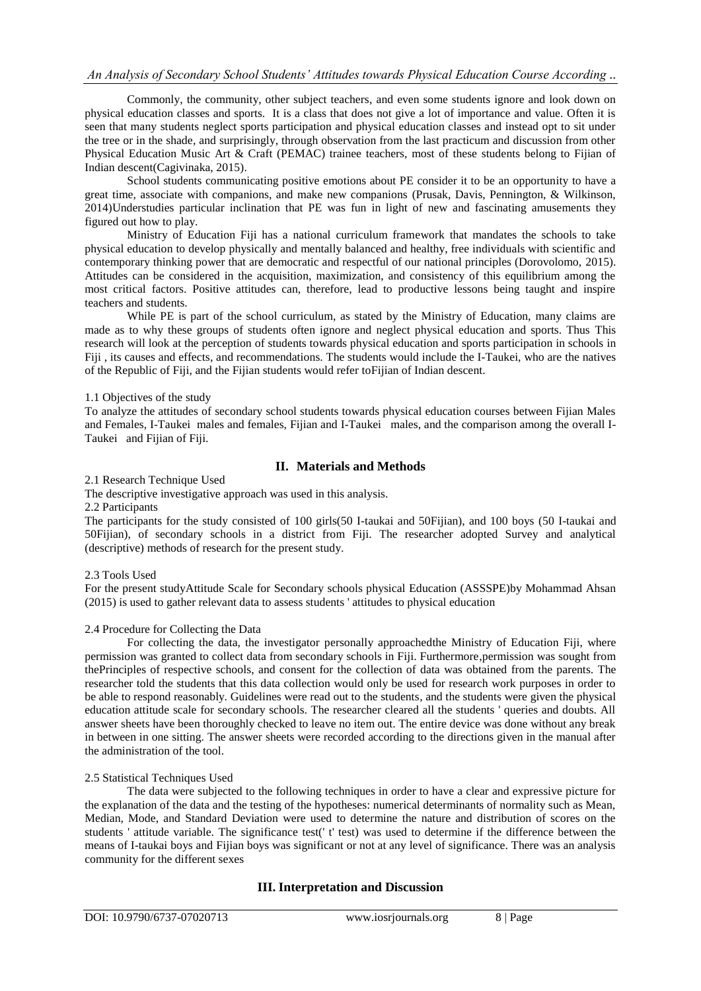# *An Analysis of Secondary School Students' Attitudes towards Physical Education Course According ..*

Commonly, the community, other subject teachers, and even some students ignore and look down on physical education classes and sports. It is a class that does not give a lot of importance and value. Often it is seen that many students neglect sports participation and physical education classes and instead opt to sit under the tree or in the shade, and surprisingly, through observation from the last practicum and discussion from other Physical Education Music Art & Craft (PEMAC) trainee teachers, most of these students belong to Fijian of Indian descent(Cagivinaka, 2015).

School students communicating positive emotions about PE consider it to be an opportunity to have a great time, associate with companions, and make new companions (Prusak, Davis, Pennington, & Wilkinson, 2014)Understudies particular inclination that PE was fun in light of new and fascinating amusements they figured out how to play.

Ministry of Education Fiji has a national curriculum framework that mandates the schools to take physical education to develop physically and mentally balanced and healthy, free individuals with scientific and contemporary thinking power that are democratic and respectful of our national principles (Dorovolomo, 2015). Attitudes can be considered in the acquisition, maximization, and consistency of this equilibrium among the most critical factors. Positive attitudes can, therefore, lead to productive lessons being taught and inspire teachers and students.

While PE is part of the school curriculum, as stated by the Ministry of Education, many claims are made as to why these groups of students often ignore and neglect physical education and sports. Thus This research will look at the perception of students towards physical education and sports participation in schools in Fiii , its causes and effects, and recommendations. The students would include the I-Taukei, who are the natives of the Republic of Fiji, and the Fijian students would refer toFijian of Indian descent.

#### 1.1 Objectives of the study

To analyze the attitudes of secondary school students towards physical education courses between Fijian Males and Females, I-Taukei males and females, Fijian and I-Taukei males, and the comparison among the overall I-Taukei and Fijian of Fiji.

# **II. Materials and Methods**

2.1 Research Technique Used

The descriptive investigative approach was used in this analysis.

2.2 Participants

The participants for the study consisted of 100 girls(50 I-taukai and 50Fijian), and 100 boys (50 I-taukai and 50Fijian), of secondary schools in a district from Fiji. The researcher adopted Survey and analytical (descriptive) methods of research for the present study.

#### 2.3 Tools Used

For the present studyAttitude Scale for Secondary schools physical Education (ASSSPE)by Mohammad Ahsan (2015) is used to gather relevant data to assess students ' attitudes to physical education

#### 2.4 Procedure for Collecting the Data

For collecting the data, the investigator personally approachedthe Ministry of Education Fiji, where permission was granted to collect data from secondary schools in Fiji. Furthermore,permission was sought from thePrinciples of respective schools, and consent for the collection of data was obtained from the parents. The researcher told the students that this data collection would only be used for research work purposes in order to be able to respond reasonably. Guidelines were read out to the students, and the students were given the physical education attitude scale for secondary schools. The researcher cleared all the students ' queries and doubts. All answer sheets have been thoroughly checked to leave no item out. The entire device was done without any break in between in one sitting. The answer sheets were recorded according to the directions given in the manual after the administration of the tool.

#### 2.5 Statistical Techniques Used

The data were subjected to the following techniques in order to have a clear and expressive picture for the explanation of the data and the testing of the hypotheses: numerical determinants of normality such as Mean, Median, Mode, and Standard Deviation were used to determine the nature and distribution of scores on the students ' attitude variable. The significance test(' t' test) was used to determine if the difference between the means of I-taukai boys and Fijian boys was significant or not at any level of significance. There was an analysis community for the different sexes

# **III. Interpretation and Discussion**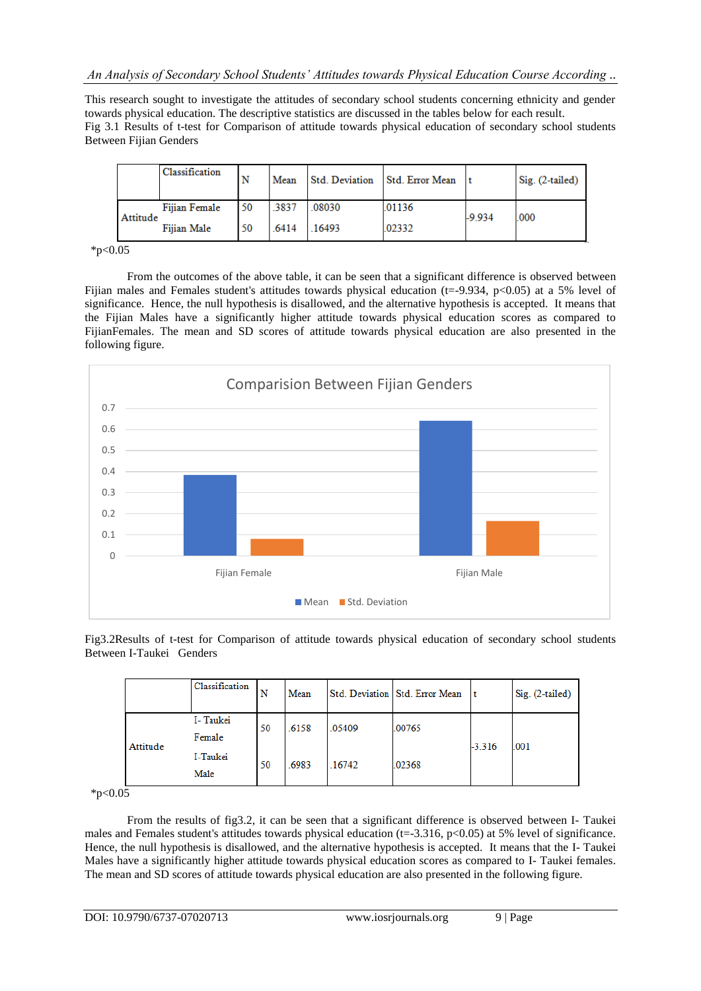This research sought to investigate the attitudes of secondary school students concerning ethnicity and gender towards physical education. The descriptive statistics are discussed in the tables below for each result. Fig 3.1 Results of t-test for Comparison of attitude towards physical education of secondary school students Between Fijian Genders

|          | Classification | N  | Mean  | Std. Deviation | <b>Std. Error Mean</b> |          | $Sig. (2-tailed)$ |
|----------|----------------|----|-------|----------------|------------------------|----------|-------------------|
| Attitude | Fijian Female  | 50 | .3837 | .08030         | .01136                 | $-9.934$ | .000              |
|          | Fiiian Male    | 50 | .6414 | 16493          | 02332                  |          |                   |

 $*p<0.05$ 

From the outcomes of the above table, it can be seen that a significant difference is observed between Fijian males and Females student's attitudes towards physical education (t=-9.934, p<0.05) at a 5% level of significance. Hence, the null hypothesis is disallowed, and the alternative hypothesis is accepted. It means that the Fijian Males have a significantly higher attitude towards physical education scores as compared to FijianFemales. The mean and SD scores of attitude towards physical education are also presented in the following figure.



Fig3.2Results of t-test for Comparison of attitude towards physical education of secondary school students Between I-Taukei Genders

|          | Classification     | N  | Mean  |        | Std. Deviation Std. Error Mean | t        | Sig. (2-tailed) |
|----------|--------------------|----|-------|--------|--------------------------------|----------|-----------------|
|          | I-Taukei<br>Female | 50 | .6158 | .05409 | .00765                         | $-3.316$ | .001            |
| Attitude | I-Taukei<br>Male   | 50 | .6983 | .16742 | .02368                         |          |                 |

 $*_{p<0.05}$ 

From the results of fig3.2, it can be seen that a significant difference is observed between I- Taukei males and Females student's attitudes towards physical education (t=-3.316, p<0.05) at 5% level of significance. Hence, the null hypothesis is disallowed, and the alternative hypothesis is accepted. It means that the I- Taukei Males have a significantly higher attitude towards physical education scores as compared to I- Taukei females. The mean and SD scores of attitude towards physical education are also presented in the following figure.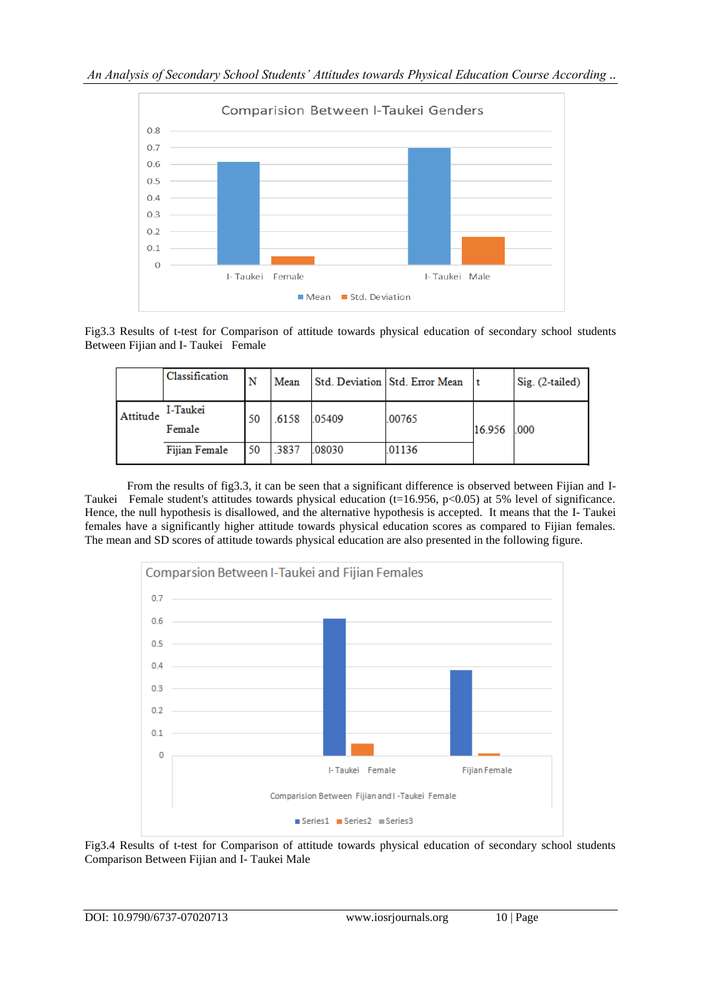*An Analysis of Secondary School Students' Attitudes towards Physical Education Course According ..*



Fig3.3 Results of t-test for Comparison of attitude towards physical education of secondary school students Between Fijian and I- Taukei Female

|          | Classification     |    | Mean  |        | Std. Deviation   Std. Error Mean |             | Sig. (2-tailed) |
|----------|--------------------|----|-------|--------|----------------------------------|-------------|-----------------|
| Attitude | I-Taukei<br>Female | 50 | .6158 | .05409 | .00765                           | 16.956 .000 |                 |
|          | Fijian Female      | 50 | .3837 | .08030 | .01136                           |             |                 |

From the results of fig3.3, it can be seen that a significant difference is observed between Fijian and I-Taukei Female student's attitudes towards physical education (t=16.956, p<0.05) at 5% level of significance. Hence, the null hypothesis is disallowed, and the alternative hypothesis is accepted. It means that the I- Taukei females have a significantly higher attitude towards physical education scores as compared to Fijian females. The mean and SD scores of attitude towards physical education are also presented in the following figure.



Fig3.4 Results of t-test for Comparison of attitude towards physical education of secondary school students Comparison Between Fijian and I- Taukei Male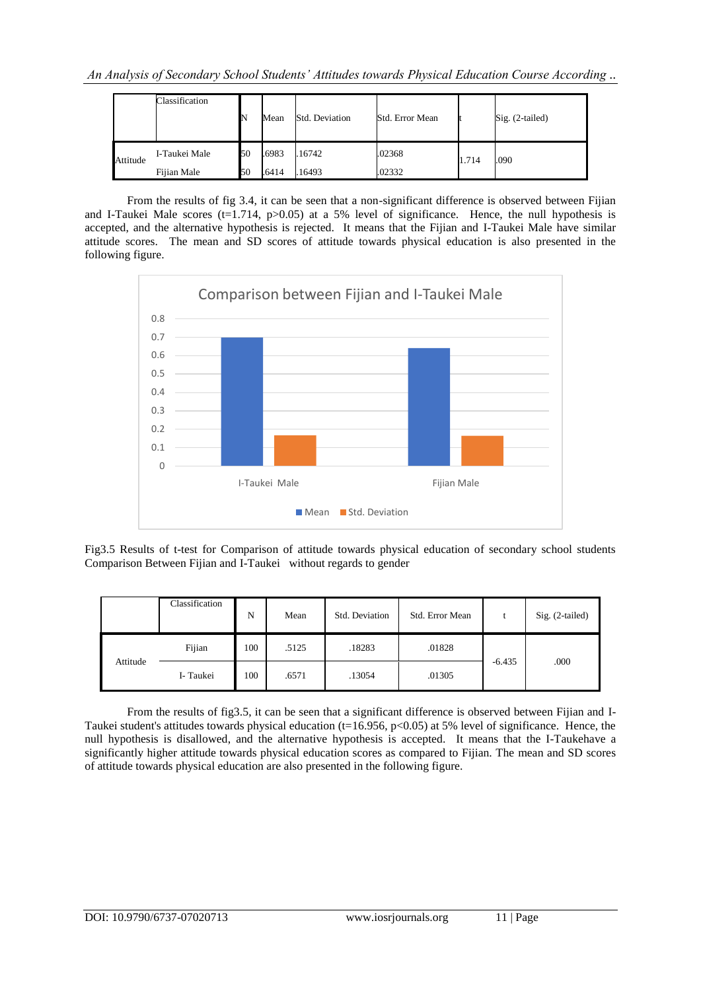*An Analysis of Secondary School Students' Attitudes towards Physical Education Course According ..*

|          | Classification | N  | Mean  | Std. Deviation | Std. Error Mean |       | Sig. (2-tailed) |  |
|----------|----------------|----|-------|----------------|-----------------|-------|-----------------|--|
| Attitude | I-Taukei Male  | 50 | .6983 | .16742         | .02368          | 1.714 | .090            |  |
|          | Fijian Male    | 50 | .6414 | 16493          | .02332          |       |                 |  |

From the results of fig 3.4, it can be seen that a non-significant difference is observed between Fijian and I-Taukei Male scores (t=1.714,  $p>0.05$ ) at a 5% level of significance. Hence, the null hypothesis is accepted, and the alternative hypothesis is rejected. It means that the Fijian and I-Taukei Male have similar attitude scores. The mean and SD scores of attitude towards physical education is also presented in the following figure.



Fig3.5 Results of t-test for Comparison of attitude towards physical education of secondary school students Comparison Between Fijian and I-Taukei without regards to gender

|          | Classification   | N   | Mean  | Std. Deviation | Std. Error Mean |          | $Sig. (2-tailed)$ |
|----------|------------------|-----|-------|----------------|-----------------|----------|-------------------|
|          | Fijian           | 100 | .5125 | .18283         | .01828          |          |                   |
| Attitude | 100<br>I- Taukei |     | .6571 | .13054         | .01305          | $-6.435$ | .000              |

From the results of fig3.5, it can be seen that a significant difference is observed between Fijian and I-Taukei student's attitudes towards physical education ( $t=16.956$ , p<0.05) at 5% level of significance. Hence, the null hypothesis is disallowed, and the alternative hypothesis is accepted. It means that the I-Taukehave a significantly higher attitude towards physical education scores as compared to Fijian. The mean and SD scores of attitude towards physical education are also presented in the following figure.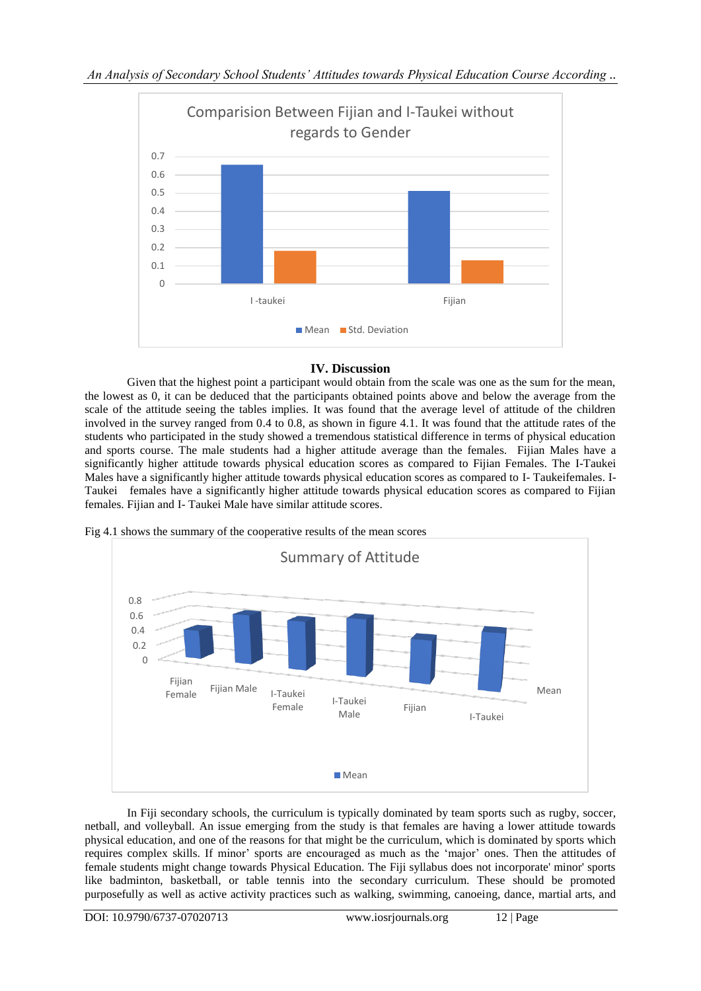

# **IV. Discussion**

Given that the highest point a participant would obtain from the scale was one as the sum for the mean, the lowest as 0, it can be deduced that the participants obtained points above and below the average from the scale of the attitude seeing the tables implies. It was found that the average level of attitude of the children involved in the survey ranged from 0.4 to 0.8, as shown in figure 4.1. It was found that the attitude rates of the students who participated in the study showed a tremendous statistical difference in terms of physical education and sports course. The male students had a higher attitude average than the females. Fijian Males have a significantly higher attitude towards physical education scores as compared to Fijian Females. The I-Taukei Males have a significantly higher attitude towards physical education scores as compared to I- Taukeifemales. I-Taukei females have a significantly higher attitude towards physical education scores as compared to Fijian females. Fijian and I- Taukei Male have similar attitude scores.



Fig 4.1 shows the summary of the cooperative results of the mean scores

In Fiji secondary schools, the curriculum is typically dominated by team sports such as rugby, soccer, netball, and volleyball. An issue emerging from the study is that females are having a lower attitude towards physical education, and one of the reasons for that might be the curriculum, which is dominated by sports which requires complex skills. If minor' sports are encouraged as much as the 'major' ones. Then the attitudes of female students might change towards Physical Education. The Fiji syllabus does not incorporate' minor' sports like badminton, basketball, or table tennis into the secondary curriculum. These should be promoted purposefully as well as active activity practices such as walking, swimming, canoeing, dance, martial arts, and